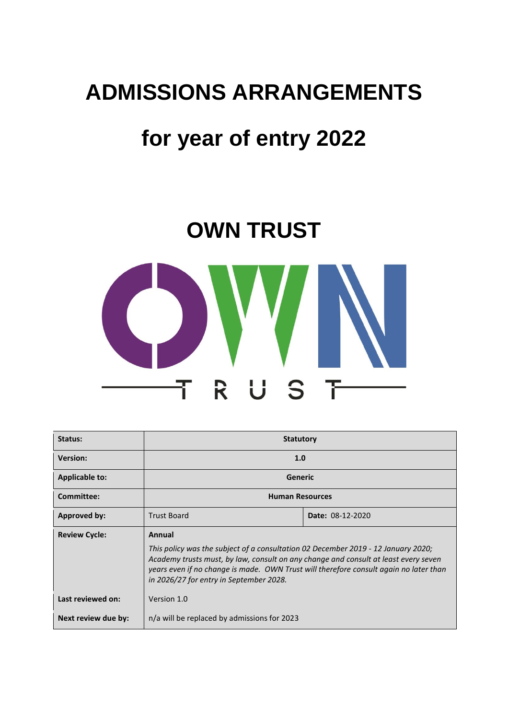# **ADMISSIONS ARRANGEMENTS**

# **for year of entry 2022**

# **OWN TRUST**



| Status:               | <b>Statutory</b>                                                                                                                                                                                                                                                                                                       |                  |  |
|-----------------------|------------------------------------------------------------------------------------------------------------------------------------------------------------------------------------------------------------------------------------------------------------------------------------------------------------------------|------------------|--|
| <b>Version:</b>       | 1.0                                                                                                                                                                                                                                                                                                                    |                  |  |
| <b>Applicable to:</b> | Generic                                                                                                                                                                                                                                                                                                                |                  |  |
| Committee:            | <b>Human Resources</b>                                                                                                                                                                                                                                                                                                 |                  |  |
| <b>Approved by:</b>   | <b>Trust Board</b>                                                                                                                                                                                                                                                                                                     | Date: 08-12-2020 |  |
| <b>Review Cycle:</b>  | Annual<br>This policy was the subject of a consultation 02 December 2019 - 12 January 2020;<br>Academy trusts must, by law, consult on any change and consult at least every seven<br>years even if no change is made. OWN Trust will therefore consult again no later than<br>in 2026/27 for entry in September 2028. |                  |  |
| Last reviewed on:     | Version 1.0                                                                                                                                                                                                                                                                                                            |                  |  |
| Next review due by:   | n/a will be replaced by admissions for 2023                                                                                                                                                                                                                                                                            |                  |  |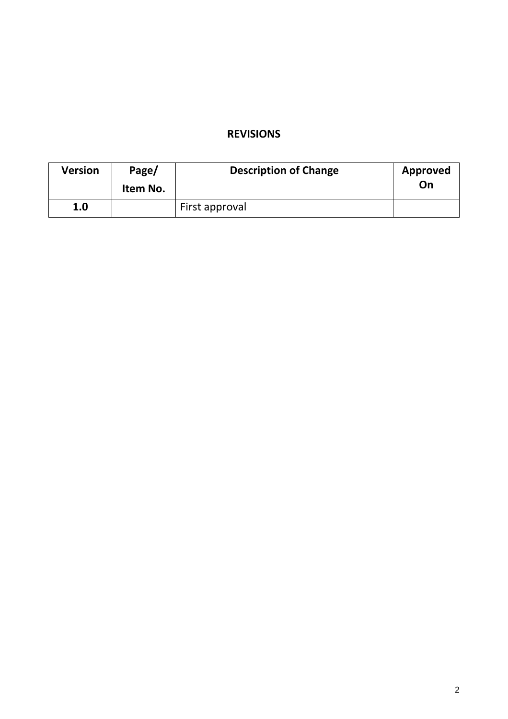# **REVISIONS**

| <b>Version</b> | Page/<br>Item No. | <b>Description of Change</b> | Approved<br>On |
|----------------|-------------------|------------------------------|----------------|
| 1.0            |                   | First approval               |                |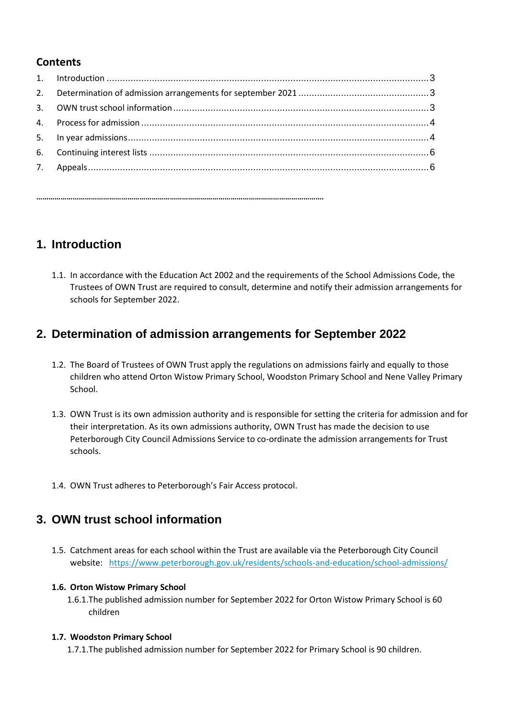#### **Contents**

# **1. Introduction**

1.1. In accordance with the Education Act 2002 and the requirements of the School Admissions Code, the Trustees of OWN Trust are required to consult, determine and notify their admission arrangements for schools for September 2022.

# **2. Determination of admission arrangements for September 2022**

- 1.2. The Board of Trustees of OWN Trust apply the regulations on admissions fairly and equally to those children who attend Orton Wistow Primary School, Woodston Primary School and Nene Valley Primary School.
- 1.3. OWN Trust is its own admission authority and is responsible for setting the criteria for admission and for their interpretation. As its own admissions authority, OWN Trust has made the decision to use Peterborough City Council Admissions Service to co-ordinate the admission arrangements for Trust schools.
- 1.4. OWN Trust adheres to Peterborough's Fair Access protocol.

**…………………………………………………………………………………………………………………………….**

# **3. OWN trust school information**

1.5. Catchment areas for each school within the Trust are available via the Peterborough City Council website: <https://www.peterborough.gov.uk/residents/schools-and-education/school-admissions/>

#### **1.6. Orton Wistow Primary School**

1.6.1.The published admission number for September 2022 for Orton Wistow Primary School is 60 children

#### **1.7. Woodston Primary School**

1.7.1.The published admission number for September 2022 for Primary School is 90 children.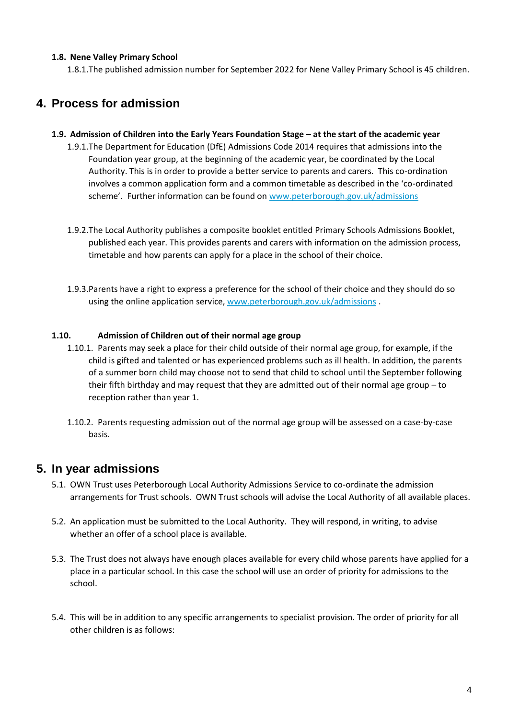#### **1.8. Nene Valley Primary School**

1.8.1.The published admission number for September 2022 for Nene Valley Primary School is 45 children.

# **4. Process for admission**

- **1.9. Admission of Children into the Early Years Foundation Stage – at the start of the academic year**
	- 1.9.1.The Department for Education (DfE) Admissions Code 2014 requires that admissions into the Foundation year group, at the beginning of the academic year, be coordinated by the Local Authority. This is in order to provide a better service to parents and carers. This co-ordination involves a common application form and a common timetable as described in the 'co-ordinated scheme'. Further information can be found on [www.peterborough.gov.uk/admissions](http://www.peterborough.gov.uk/admissions)
	- 1.9.2.The Local Authority publishes a composite booklet entitled Primary Schools Admissions Booklet, published each year. This provides parents and carers with information on the admission process, timetable and how parents can apply for a place in the school of their choice.
	- 1.9.3.Parents have a right to express a preference for the school of their choice and they should do so using the online application service, [www.peterborough.gov.uk/admissions](http://www.peterborough.gov.uk/admissions).

#### **1.10. Admission of Children out of their normal age group**

- 1.10.1. Parents may seek a place for their child outside of their normal age group, for example, if the child is gifted and talented or has experienced problems such as ill health. In addition, the parents of a summer born child may choose not to send that child to school until the September following their fifth birthday and may request that they are admitted out of their normal age group – to reception rather than year 1.
- 1.10.2. Parents requesting admission out of the normal age group will be assessed on a case-by-case basis.

### **5. In year admissions**

- 5.1. OWN Trust uses Peterborough Local Authority Admissions Service to co-ordinate the admission arrangements for Trust schools. OWN Trust schools will advise the Local Authority of all available places.
- 5.2. An application must be submitted to the Local Authority. They will respond, in writing, to advise whether an offer of a school place is available.
- 5.3. The Trust does not always have enough places available for every child whose parents have applied for a place in a particular school. In this case the school will use an order of priority for admissions to the school.
- 5.4. This will be in addition to any specific arrangements to specialist provision. The order of priority for all other children is as follows: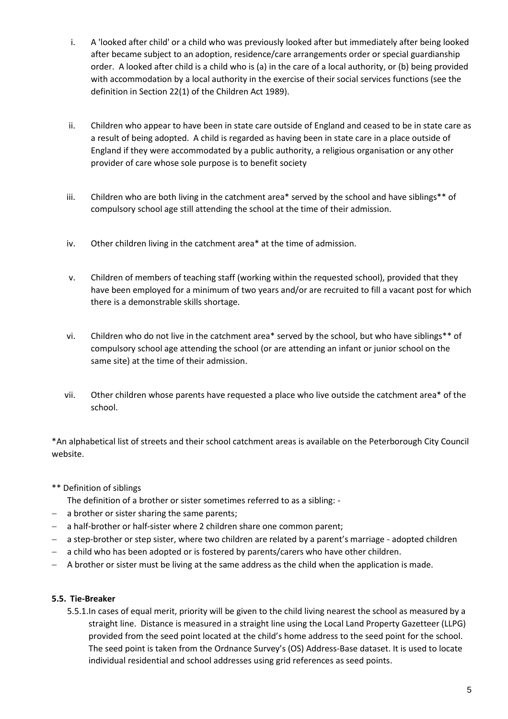- i. A 'looked after child' or a child who was previously looked after but immediately after being looked after became subject to an adoption, residence/care arrangements order or special guardianship order. A looked after child is a child who is (a) in the care of a local authority, or (b) being provided with accommodation by a local authority in the exercise of their social services functions (see the definition in Section 22(1) of the Children Act 1989).
- ii. Children who appear to have been in state care outside of England and ceased to be in state care as a result of being adopted. A child is regarded as having been in state care in a place outside of England if they were accommodated by a public authority, a religious organisation or any other provider of care whose sole purpose is to benefit society
- iii. Children who are both living in the catchment area\* served by the school and have siblings\*\* of compulsory school age still attending the school at the time of their admission.
- iv. Other children living in the catchment area\* at the time of admission.
- v. Children of members of teaching staff (working within the requested school), provided that they have been employed for a minimum of two years and/or are recruited to fill a vacant post for which there is a demonstrable skills shortage.
- vi. Children who do not live in the catchment area\* served by the school, but who have siblings\*\* of compulsory school age attending the school (or are attending an infant or junior school on the same site) at the time of their admission.
- vii. Other children whose parents have requested a place who live outside the catchment area\* of the school.

\*An alphabetical list of streets and their school catchment areas is available on the Peterborough City Council website.

\*\* Definition of siblings

The definition of a brother or sister sometimes referred to as a sibling: -

- a brother or sister sharing the same parents;
- a half-brother or half-sister where 2 children share one common parent;
- a step-brother or step sister, where two children are related by a parent's marriage adopted children
- a child who has been adopted or is fostered by parents/carers who have other children.
- A brother or sister must be living at the same address as the child when the application is made.

#### **5.5. Tie-Breaker**

5.5.1.In cases of equal merit, priority will be given to the child living nearest the school as measured by a straight line. Distance is measured in a straight line using the Local Land Property Gazetteer (LLPG) provided from the seed point located at the child's home address to the seed point for the school. The seed point is taken from the Ordnance Survey's (OS) Address-Base dataset. It is used to locate individual residential and school addresses using grid references as seed points.